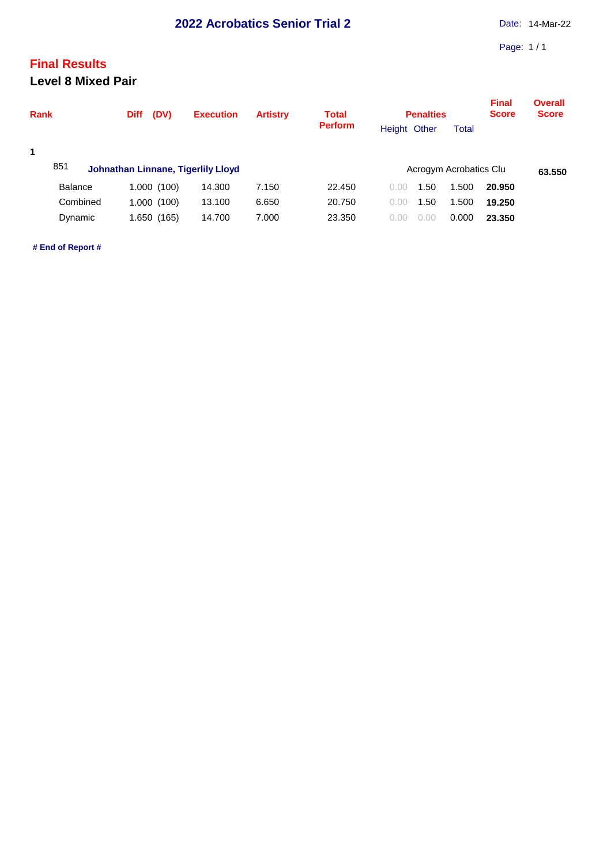## **Final Results Level 8 Mixed Pair**

| <b>Rank</b>                           | (DV)<br><b>Diff</b>                      | <b>Execution</b>           | <b>Artistry</b>         | <b>Total</b><br><b>Perform</b> | <b>Penalties</b><br>Height Other     | <b>Total</b>            | <b>Final</b><br><b>Score</b> | <b>Overall</b><br><b>Score</b> |
|---------------------------------------|------------------------------------------|----------------------------|-------------------------|--------------------------------|--------------------------------------|-------------------------|------------------------------|--------------------------------|
| $\mathbf 1$<br>851                    | Johnathan Linnane, Tigerlily Lloyd       |                            |                         |                                | Acrogym Acrobatics Clu               |                         |                              | 63.550                         |
| <b>Balance</b><br>Combined<br>Dynamic | 1.000 (100)<br>1.000(100)<br>1.650 (165) | 14.300<br>13.100<br>14.700 | 7.150<br>6.650<br>7.000 | 22,450<br>20.750<br>23.350     | 1.50<br>0.00<br>1.50<br>0.00<br>0.00 | 1.500<br>1.500<br>0.000 | 20.950<br>19.250<br>23,350   |                                |

**# End of Report #**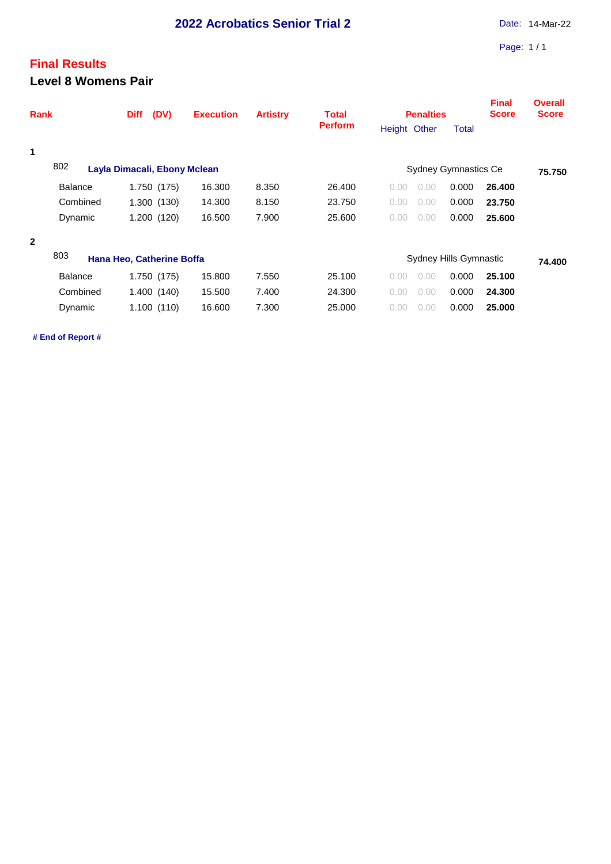## **Final Results Level 8 Womens Pair**

| <b>Perform</b><br>Height Other<br>Total<br>1<br>802<br><b>Sydney Gymnastics Ce</b><br>Layla Dimacali, Ebony Mclean<br><b>Balance</b><br>16.300<br>8.350<br>0.000<br>1.750 (175)<br>26.400<br>26,400<br>0.00<br>0.00<br>0.000<br>Combined<br>1.300(130)<br>14.300<br>8.150<br>23.750<br>0.00<br>23.750<br>0.00<br>1.200 (120)<br>16.500<br>7.900<br>25.600<br>0.000<br>Dynamic<br>0.00<br>25,600<br>0.00<br>$\mathbf{2}$<br>803<br>Hana Heo, Catherine Boffa<br>Sydney Hills Gymnastic<br><b>Balance</b><br>1.750 (175)<br>15.800<br>7.550<br>25.100<br>0.000<br>25.100<br>0.00<br>0.00<br>Combined<br>0.000<br>1.400(140)<br>15.500<br>7.400<br>24.300<br>0.00<br>0.00<br>24.300<br>16.600<br>7.300<br>25.000<br>0.000<br>Dynamic<br>1.100(110)<br>25.000<br>0.00<br>0.00 | <b>Rank</b> | (DV)<br><b>Diff</b> | <b>Execution</b> | <b>Artistry</b> | <b>Total</b> | <b>Penalties</b> |  |        | <b>Final</b><br><b>Score</b> | <b>Overall</b><br><b>Score</b> |
|---------------------------------------------------------------------------------------------------------------------------------------------------------------------------------------------------------------------------------------------------------------------------------------------------------------------------------------------------------------------------------------------------------------------------------------------------------------------------------------------------------------------------------------------------------------------------------------------------------------------------------------------------------------------------------------------------------------------------------------------------------------------------|-------------|---------------------|------------------|-----------------|--------------|------------------|--|--------|------------------------------|--------------------------------|
|                                                                                                                                                                                                                                                                                                                                                                                                                                                                                                                                                                                                                                                                                                                                                                           |             |                     |                  |                 |              |                  |  |        |                              |                                |
|                                                                                                                                                                                                                                                                                                                                                                                                                                                                                                                                                                                                                                                                                                                                                                           |             |                     |                  |                 |              |                  |  |        |                              |                                |
|                                                                                                                                                                                                                                                                                                                                                                                                                                                                                                                                                                                                                                                                                                                                                                           |             |                     |                  |                 |              |                  |  |        |                              | 75.750                         |
|                                                                                                                                                                                                                                                                                                                                                                                                                                                                                                                                                                                                                                                                                                                                                                           |             |                     |                  |                 |              |                  |  |        |                              |                                |
|                                                                                                                                                                                                                                                                                                                                                                                                                                                                                                                                                                                                                                                                                                                                                                           |             |                     |                  |                 |              |                  |  |        |                              |                                |
|                                                                                                                                                                                                                                                                                                                                                                                                                                                                                                                                                                                                                                                                                                                                                                           |             |                     |                  |                 |              |                  |  |        |                              |                                |
|                                                                                                                                                                                                                                                                                                                                                                                                                                                                                                                                                                                                                                                                                                                                                                           |             |                     |                  |                 |              |                  |  |        |                              |                                |
|                                                                                                                                                                                                                                                                                                                                                                                                                                                                                                                                                                                                                                                                                                                                                                           |             |                     |                  |                 |              |                  |  | 74.400 |                              |                                |
|                                                                                                                                                                                                                                                                                                                                                                                                                                                                                                                                                                                                                                                                                                                                                                           |             |                     |                  |                 |              |                  |  |        |                              |                                |
|                                                                                                                                                                                                                                                                                                                                                                                                                                                                                                                                                                                                                                                                                                                                                                           |             |                     |                  |                 |              |                  |  |        |                              |                                |
|                                                                                                                                                                                                                                                                                                                                                                                                                                                                                                                                                                                                                                                                                                                                                                           |             |                     |                  |                 |              |                  |  |        |                              |                                |

**# End of Report #**